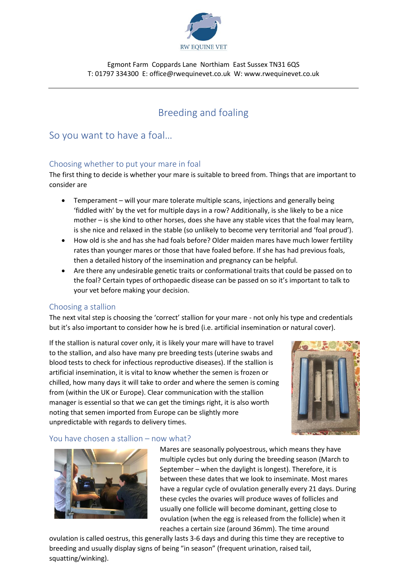

Egmont Farm Coppards Lane Northiam East Sussex TN31 6QS T: 01797 334300 E: office@rwequinevet.co.uk W: www.rwequinevet.co.uk

# Breeding and foaling

# So you want to have a foal…

### Choosing whether to put your mare in foal

The first thing to decide is whether your mare is suitable to breed from. Things that are important to consider are

- Temperament will your mare tolerate multiple scans, injections and generally being 'fiddled with' by the vet for multiple days in a row? Additionally, is she likely to be a nice mother – is she kind to other horses, does she have any stable vices that the foal may learn, is she nice and relaxed in the stable (so unlikely to become very territorial and 'foal proud').
- How old is she and has she had foals before? Older maiden mares have much lower fertility rates than younger mares or those that have foaled before. If she has had previous foals, then a detailed history of the insemination and pregnancy can be helpful.
- Are there any undesirable genetic traits or conformational traits that could be passed on to the foal? Certain types of orthopaedic disease can be passed on so it's important to talk to your vet before making your decision.

#### Choosing a stallion

The next vital step is choosing the 'correct' stallion for your mare - not only his type and credentials but it's also important to consider how he is bred (i.e. artificial insemination or natural cover).

If the stallion is natural cover only, it is likely your mare will have to travel to the stallion, and also have many pre breeding tests (uterine swabs and blood tests to check for infectious reproductive diseases). If the stallion is artificial insemination, it is vital to know whether the semen is frozen or chilled, how many days it will take to order and where the semen is coming from (within the UK or Europe). Clear communication with the stallion manager is essential so that we can get the timings right, it is also worth noting that semen imported from Europe can be slightly more unpredictable with regards to delivery times.



#### You have chosen a stallion – now what?



Mares are seasonally polyoestrous, which means they have multiple cycles but only during the breeding season (March to September – when the daylight is longest). Therefore, it is between these dates that we look to inseminate. Most mares have a regular cycle of ovulation generally every 21 days. During these cycles the ovaries will produce waves of follicles and usually one follicle will become dominant, getting close to ovulation (when the egg is released from the follicle) when it reaches a certain size (around 36mm). The time around

ovulation is called oestrus, this generally lasts 3-6 days and during this time they are receptive to breeding and usually display signs of being "in season" (frequent urination, raised tail, squatting/winking).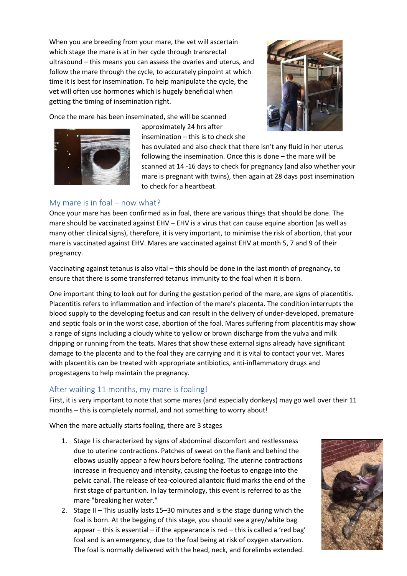When you are breeding from your mare, the vet will ascertain which stage the mare is at in her cycle through transrectal ultrasound – this means you can assess the ovaries and uterus, and follow the mare through the cycle, to accurately pinpoint at which time it is best for insemination. To help manipulate the cycle, the vet will often use hormones which is hugely beneficial when getting the timing of insemination right.



Once the mare has been inseminated, she will be scanned

approximately 24 hrs after insemination – this is to check she

has ovulated and also check that there isn't any fluid in her uterus following the insemination. Once this is done – the mare will be scanned at 14 -16 days to check for pregnancy (and also whether your mare is pregnant with twins), then again at 28 days post insemination to check for a heartbeat.

# My mare is in foal – now what?

Once your mare has been confirmed as in foal, there are various things that should be done. The mare should be vaccinated against EHV – EHV is a virus that can cause equine abortion (as well as many other clinical signs), therefore, it is very important, to minimise the risk of abortion, that your mare is vaccinated against EHV. Mares are vaccinated against EHV at month 5, 7 and 9 of their pregnancy.

Vaccinating against tetanus is also vital – this should be done in the last month of pregnancy, to ensure that there is some transferred tetanus immunity to the foal when it is born.

One important thing to look out for during the gestation period of the mare, are signs of placentitis. Placentitis refers to inflammation and infection of the mare's placenta. The condition interrupts the blood supply to the developing foetus and can result in the delivery of under-developed, premature and septic foals or in the worst case, abortion of the foal. Mares suffering from placentitis may show a range of signs including a cloudy white to yellow or brown discharge from the vulva and milk dripping or running from the teats. Mares that show these external signs already have significant damage to the placenta and to the foal they are carrying and it is vital to contact your vet. Mares with placentitis can be treated with appropriate antibiotics, anti-inflammatory drugs and progestagens to help maintain the pregnancy.

# After waiting 11 months, my mare is foaling!

First, it is very important to note that some mares (and especially donkeys) may go well over their 11 months – this is completely normal, and not something to worry about!

When the mare actually starts foaling, there are 3 stages

- 1. Stage I is characterized by signs of abdominal discomfort and restlessness due to uterine contractions. Patches of sweat on the flank and behind the elbows usually appear a few hours before foaling. The uterine contractions increase in frequency and intensity, causing the foetus to engage into the pelvic canal. The release of tea-coloured allantoic fluid marks the end of the first stage of parturition. In lay terminology, this event is referred to as the mare "breaking her water."
- 2. Stage II This usually lasts 15–30 minutes and is the stage during which the foal is born. At the begging of this stage, you should see a grey/white bag appear – this is essential – if the appearance is red – this is called a 'red bag' foal and is an emergency, due to the foal being at risk of oxygen starvation. The foal is normally delivered with the head, neck, and forelimbs extended.

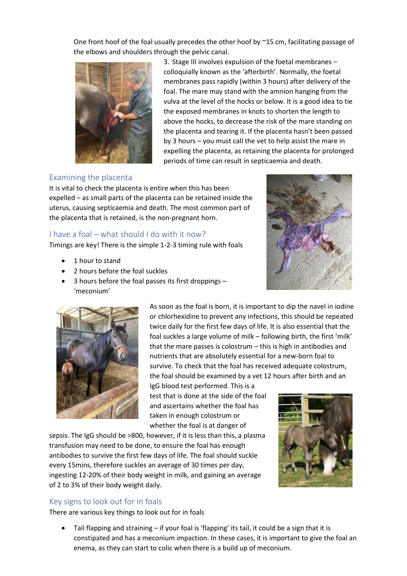One front hoof of the foal usually precedes the other hoof by ~15 cm, facilitating passage of the elbows and shoulders through the pelvic canal.



3. Stage III involves expulsion of the foetal membranes – colloquially known as the 'afterbirth'. Normally, the foetal membranes pass rapidly (within 3 hours) after delivery of the foal. The mare may stand with the amnion hanging from the vulva at the level of the hocks or below. It is a good idea to tie the exposed membranes in knots to shorten the length to above the hocks, to decrease the risk of the mare standing on the placenta and tearing it. If the placenta hasn't been passed by 3 hours – you must call the vet to help assist the mare in expelling the placenta, as retaining the placenta for prolonged periods of time can result in septicaemia and death.

### Examining the placenta

It is vital to check the placenta is entire when this has been expelled – as small parts of the placenta can be retained inside the uterus, causing septicaemia and death. The most common part of the placenta that is retained, is the non-pregnant horn.

### I have a foal – what should I do with it now?

Timings are key! There is the simple 1-2-3 timing rule with foals

- 1 hour to stand
- 2 hours before the foal suckles
- 3 hours before the foal passes its first droppings 'meconium'





As soon as the foal is born, it is important to dip the navel in iodine or chlorhexidine to prevent any infections, this should be repeated twice daily for the first few days of life. It is also essential that the foal suckles a large volume of milk – following birth, the first 'milk' that the mare passes is colostrum – this is high in antibodies and nutrients that are absolutely essential for a new-born foal to survive. To check that the foal has received adequate colostrum, the foal should be examined by a vet 12 hours after birth and an

IgG blood test performed. This is a test that is done at the side of the foal and ascertains whether the foal has taken in enough colostrum or whether the foal is at danger of

sepsis. The IgG should be >800, however, if it is less than this, a plasma transfusion may need to be done, to ensure the foal has enough antibodies to survive the first few days of life. The foal should suckle every 15mins, therefore suckles an average of 30 times per day, ingesting 12-20% of their body weight in milk, and gaining an average of 2 to 3% of their body weight daily.

## Key signs to look out for in foals

There are various key things to look out for in foals

• Tail flapping and straining – if your foal is 'flapping' its tail, it could be a sign that it is constipated and has a meconium impaction. In these cases, it is important to give the foal an enema, as they can start to colic when there is a build up of meconium.